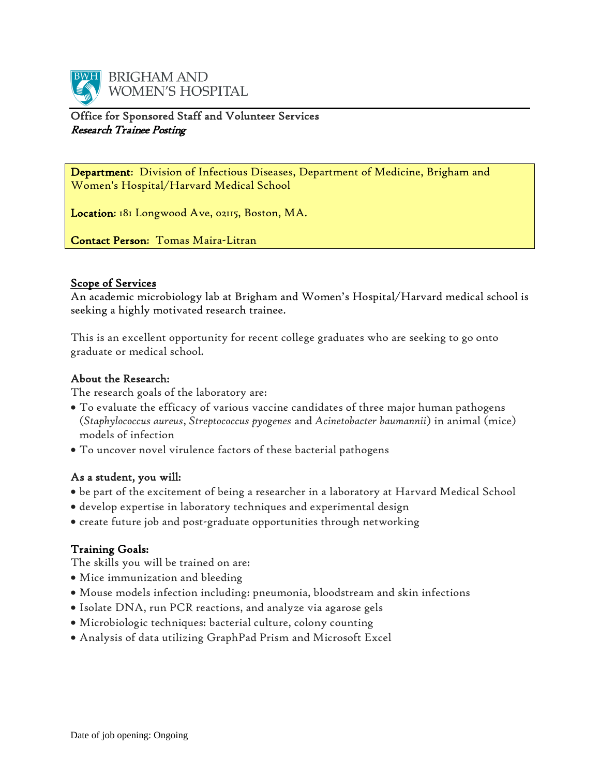

## Office for Sponsored Staff and Volunteer Services Research Trainee Posting

Department: Division of Infectious Diseases, Department of Medicine, Brigham and Women's Hospital/Harvard Medical School

Location: 181 Longwood Ave, 02115, Boston, MA.

Contact Person: Tomas Maira-Litran

### Scope of Services

An academic microbiology lab at Brigham and Women's Hospital/Harvard medical school is seeking a highly motivated research trainee.

This is an excellent opportunity for recent college graduates who are seeking to go onto graduate or medical school.

## About the Research:

The research goals of the laboratory are:

- To evaluate the efficacy of various vaccine candidates of three major human pathogens (*Staphylococcus aureus*, *Streptococcus pyogenes* and *Acinetobacter baumannii*) in animal (mice) models of infection
- To uncover novel virulence factors of these bacterial pathogens

#### As a student, you will:

- be part of the excitement of being a researcher in a laboratory at Harvard Medical School
- develop expertise in laboratory techniques and experimental design
- create future job and post-graduate opportunities through networking

## Training Goals:

The skills you will be trained on are:

- Mice immunization and bleeding
- Mouse models infection including: pneumonia, bloodstream and skin infections
- Isolate DNA, run PCR reactions, and analyze via agarose gels
- Microbiologic techniques: bacterial culture, colony counting
- Analysis of data utilizing GraphPad Prism and Microsoft Excel